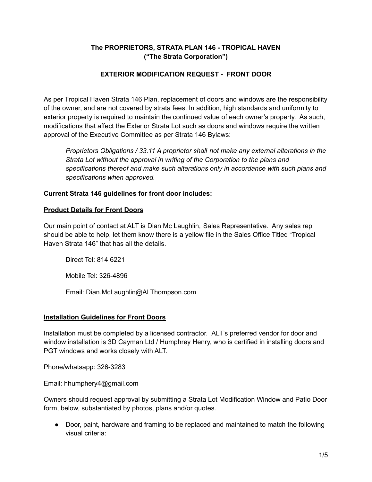# **The PROPRIETORS, STRATA PLAN 146 - TROPICAL HAVEN ("The Strata Corporation")**

## **EXTERIOR MODIFICATION REQUEST - FRONT DOOR**

As per Tropical Haven Strata 146 Plan, replacement of doors and windows are the responsibility of the owner, and are not covered by strata fees. In addition, high standards and uniformity to exterior property is required to maintain the continued value of each owner's property. As such, modifications that affect the Exterior Strata Lot such as doors and windows require the written approval of the Executive Committee as per Strata 146 Bylaws:

*Proprietors Obligations / 33.11 A proprietor shall not make any external alterations in the Strata Lot without the approval in writing of the Corporation to the plans and specifications thereof and make such alterations only in accordance with such plans and specifications when approved.*

## **Current Strata 146 guidelines for front door includes:**

#### **Product Details for Front Doors**

Our main point of contact at ALT is Dian Mc Laughlin, Sales Representative. Any sales rep should be able to help, let them know there is a yellow file in the Sales Office Titled "Tropical Haven Strata 146" that has all the details.

Direct Tel: 814 6221

Mobile Tel: 326-4896

Email: Dian.McLaughlin@ALThompson.com

## **Installation Guidelines for Front Doors**

Installation must be completed by a licensed contractor. ALT's preferred vendor for door and window installation is 3D Cayman Ltd / Humphrey Henry, who is certified in installing doors and PGT windows and works closely with ALT.

Phone/whatsapp: 326-3283

Email: hhumphery4@gmail.com

Owners should request approval by submitting a Strata Lot Modification Window and Patio Door form, below, substantiated by photos, plans and/or quotes.

● Door, paint, hardware and framing to be replaced and maintained to match the following visual criteria: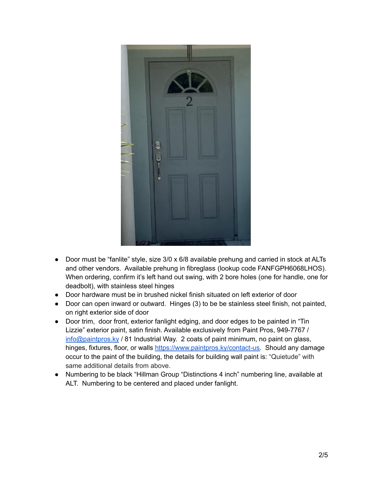

- Door must be "fanlite" style, size 3/0 x 6/8 available prehung and carried in stock at ALTs and other vendors. Available prehung in fibreglass (lookup code FANFGPH6068LHOS). When ordering, confirm it's left hand out swing, with 2 bore holes (one for handle, one for deadbolt), with stainless steel hinges
- Door hardware must be in brushed nickel finish situated on left exterior of door
- Door can open inward or outward. Hinges (3) to be be stainless steel finish, not painted, on right exterior side of door
- Door trim, door front, exterior fanlight edging, and door edges to be painted in "Tin Lizzie" exterior paint, satin finish. Available exclusively from Paint Pros, 949-7767 / [info@paintpros.ky](mailto:info@paintpros.ky) / 81 Industrial Way. 2 coats of paint minimum, no paint on glass, hinges, fixtures, floor, or walls [https://www.paintpros.ky/contact-us.](https://www.paintpros.ky/contact-us) Should any damage occur to the paint of the building, the details for building wall paint is: "Quietude" with same additional details from above.
- Numbering to be black "Hillman Group "Distinctions 4 inch" numbering line, available at ALT. Numbering to be centered and placed under fanlight.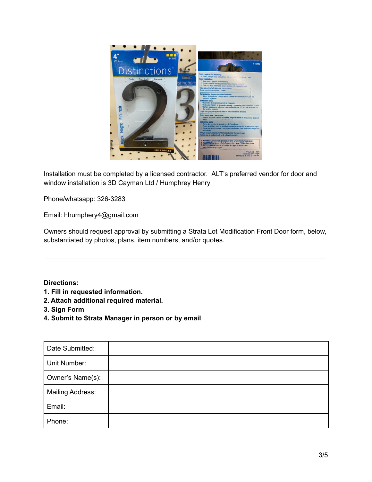

Installation must be completed by a licensed contractor. ALT's preferred vendor for door and window installation is 3D Cayman Ltd / Humphrey Henry

Phone/whatsapp: 326-3283

Email: hhumphery4@gmail.com

Owners should request approval by submitting a Strata Lot Modification Front Door form, below, substantiated by photos, plans, item numbers, and/or quotes.

## **Directions:**

- **1. Fill in requested information.**
- **2. Attach additional required material.**
- **3. Sign Form**
- **4. Submit to Strata Manager in person or by email**

| Date Submitted:         |  |
|-------------------------|--|
| Unit Number:            |  |
| Owner's Name(s):        |  |
| <b>Mailing Address:</b> |  |
| Email:                  |  |
| Phone:                  |  |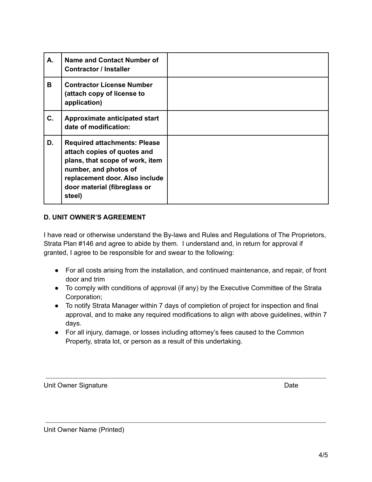| А. | Name and Contact Number of<br><b>Contractor / Installer</b>                                                                                                                                                |  |
|----|------------------------------------------------------------------------------------------------------------------------------------------------------------------------------------------------------------|--|
| В  | <b>Contractor License Number</b><br>(attach copy of license to<br>application)                                                                                                                             |  |
| C. | Approximate anticipated start<br>date of modification:                                                                                                                                                     |  |
| D. | <b>Required attachments: Please</b><br>attach copies of quotes and<br>plans, that scope of work, item<br>number, and photos of<br>replacement door. Also include<br>door material (fibreglass or<br>steel) |  |

#### **D. UNIT OWNER'S AGREEMENT**

I have read or otherwise understand the By-laws and Rules and Regulations of The Proprietors, Strata Plan #146 and agree to abide by them. I understand and, in return for approval if granted, I agree to be responsible for and swear to the following:

- For all costs arising from the installation, and continued maintenance, and repair, of front door and trim
- To comply with conditions of approval (if any) by the Executive Committee of the Strata Corporation;
- To notify Strata Manager within 7 days of completion of project for inspection and final approval, and to make any required modifications to align with above guidelines, within 7 days.
- For all injury, damage, or losses including attorney's fees caused to the Common Property, strata lot, or person as a result of this undertaking.

Unit Owner Signature **Date** Date of **Date** Date of **Date** Date of **Date** Date of **Date**